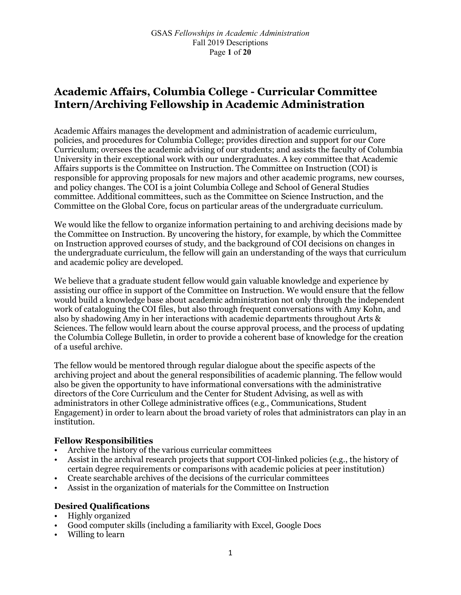# **Academic Affairs, Columbia College - Curricular Committee Intern/Archiving Fellowship in Academic Administration**

Academic Affairs manages the development and administration of academic curriculum, policies, and procedures for Columbia College; provides direction and support for our Core Curriculum; oversees the academic advising of our students; and assists the faculty of Columbia University in their exceptional work with our undergraduates. A key committee that Academic Affairs supports is the Committee on Instruction. The Committee on Instruction (COI) is responsible for approving proposals for new majors and other academic programs, new courses, and policy changes. The COI is a joint Columbia College and School of General Studies committee. Additional committees, such as the Committee on Science Instruction, and the Committee on the Global Core, focus on particular areas of the undergraduate curriculum.

We would like the fellow to organize information pertaining to and archiving decisions made by the Committee on Instruction. By uncovering the history, for example, by which the Committee on Instruction approved courses of study, and the background of COI decisions on changes in the undergraduate curriculum, the fellow will gain an understanding of the ways that curriculum and academic policy are developed.

We believe that a graduate student fellow would gain valuable knowledge and experience by assisting our office in support of the Committee on Instruction. We would ensure that the fellow would build a knowledge base about academic administration not only through the independent work of cataloguing the COI files, but also through frequent conversations with Amy Kohn, and also by shadowing Amy in her interactions with academic departments throughout Arts & Sciences. The fellow would learn about the course approval process, and the process of updating the Columbia College Bulletin, in order to provide a coherent base of knowledge for the creation of a useful archive.

The fellow would be mentored through regular dialogue about the specific aspects of the archiving project and about the general responsibilities of academic planning. The fellow would also be given the opportunity to have informational conversations with the administrative directors of the Core Curriculum and the Center for Student Advising, as well as with administrators in other College administrative offices (e.g., Communications, Student Engagement) in order to learn about the broad variety of roles that administrators can play in an institution.

### **Fellow Responsibilities**

- Archive the history of the various curricular committees
- Assist in the archival research projects that support COI-linked policies (e.g., the history of certain degree requirements or comparisons with academic policies at peer institution)
- Create searchable archives of the decisions of the curricular committees
- Assist in the organization of materials for the Committee on Instruction

### **Desired Qualifications**

- Highly organized
- Good computer skills (including a familiarity with Excel, Google Docs
- Willing to learn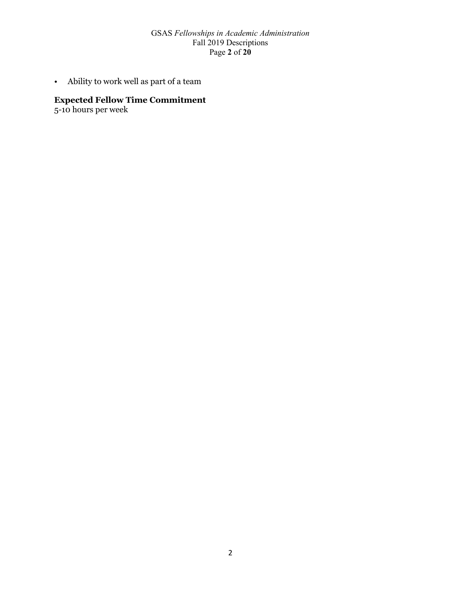#### GSAS *Fellowships in Academic Administration* Fall 2019 Descriptions Page **2** of **20**

• Ability to work well as part of a team

## **Expected Fellow Time Commitment**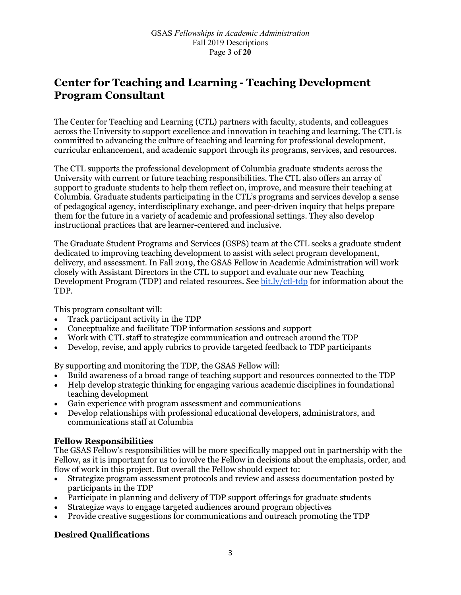# **Center for Teaching and Learning - Teaching Development Program Consultant**

The Center for Teaching and Learning (CTL) partners with faculty, students, and colleagues across the University to support excellence and innovation in teaching and learning. The CTL is committed to advancing the culture of teaching and learning for professional development, curricular enhancement, and academic support through its programs, services, and resources.

The CTL supports the professional development of Columbia graduate students across the University with current or future teaching responsibilities. The CTL also offers an array of support to graduate students to help them reflect on, improve, and measure their teaching at Columbia. Graduate students participating in the CTL's programs and services develop a sense of pedagogical agency, interdisciplinary exchange, and peer-driven inquiry that helps prepare them for the future in a variety of academic and professional settings. They also develop instructional practices that are learner-centered and inclusive.

The Graduate Student Programs and Services (GSPS) team at the CTL seeks a graduate student dedicated to improving teaching development to assist with select program development, delivery, and assessment. In Fall 2019, the GSAS Fellow in Academic Administration will work closely with Assistant Directors in the CTL to support and evaluate our new Teaching Development Program (TDP) and related resources. See [bit.ly/ctl-tdp](http://bit.ly/ctl-tdp) for information about the TDP.

This program consultant will:

- Track participant activity in the TDP
- Conceptualize and facilitate TDP information sessions and support
- Work with CTL staff to strategize communication and outreach around the TDP
- Develop, revise, and apply rubrics to provide targeted feedback to TDP participants

By supporting and monitoring the TDP, the GSAS Fellow will:

- Build awareness of a broad range of teaching support and resources connected to the TDP
- Help develop strategic thinking for engaging various academic disciplines in foundational teaching development
- Gain experience with program assessment and communications
- Develop relationships with professional educational developers, administrators, and communications staff at Columbia

### **Fellow Responsibilities**

The GSAS Fellow's responsibilities will be more specifically mapped out in partnership with the Fellow, as it is important for us to involve the Fellow in decisions about the emphasis, order, and flow of work in this project. But overall the Fellow should expect to:

- Strategize program assessment protocols and review and assess documentation posted by participants in the TDP
- Participate in planning and delivery of TDP support offerings for graduate students
- Strategize ways to engage targeted audiences around program objectives
- Provide creative suggestions for communications and outreach promoting the TDP

### **Desired Qualifications**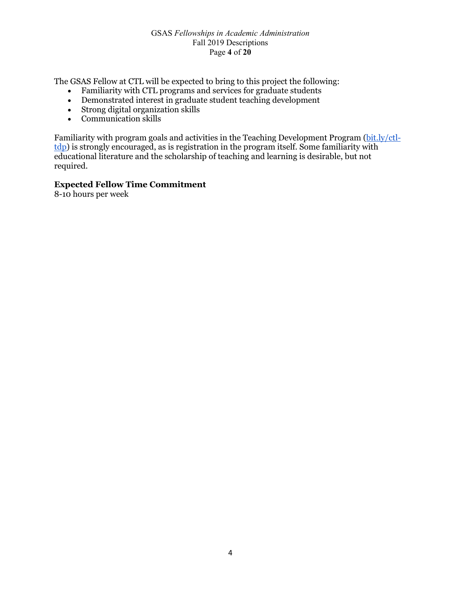#### GSAS *Fellowships in Academic Administration* Fall 2019 Descriptions Page **4** of **20**

The GSAS Fellow at CTL will be expected to bring to this project the following:

- Familiarity with CTL programs and services for graduate students
- Demonstrated interest in graduate student teaching development
- Strong digital organization skills
- Communication skills

Familiarity with program goals and activities in the Teaching Development Program [\(bit.ly/ctl](http://bit.ly/ctl-tdp)[tdp\)](http://bit.ly/ctl-tdp) is strongly encouraged, as is registration in the program itself. Some familiarity with educational literature and the scholarship of teaching and learning is desirable, but not required.

### **Expected Fellow Time Commitment**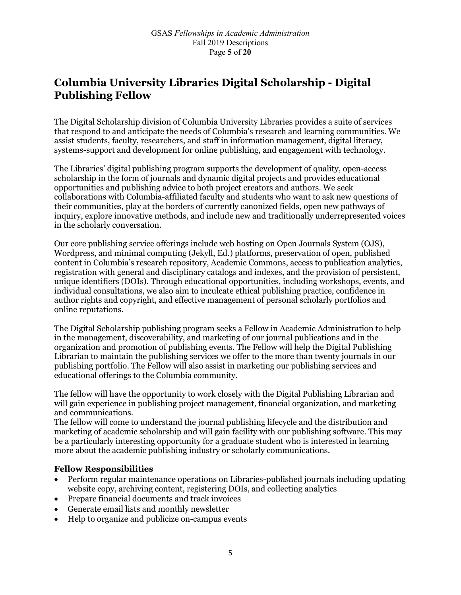# **Columbia University Libraries Digital Scholarship - Digital Publishing Fellow**

The Digital Scholarship division of Columbia University Libraries provides a suite of services that respond to and anticipate the needs of Columbia's research and learning communities. We assist students, faculty, researchers, and staff in information management, digital literacy, systems-support and development for online publishing, and engagement with technology.

The Libraries' digital publishing program supports the development of quality, open-access scholarship in the form of journals and dynamic digital projects and provides educational opportunities and publishing advice to both project creators and authors. We seek collaborations with Columbia-affiliated faculty and students who want to ask new questions of their communities, play at the borders of currently canonized fields, open new pathways of inquiry, explore innovative methods, and include new and traditionally underrepresented voices in the scholarly conversation.

Our core publishing service offerings include web hosting on Open Journals System (OJS), Wordpress, and minimal computing (Jekyll, Ed.) platforms, preservation of open, published content in Columbia's research repository, Academic Commons, access to publication analytics, registration with general and disciplinary catalogs and indexes, and the provision of persistent, unique identifiers (DOIs). Through educational opportunities, including workshops, events, and individual consultations, we also aim to inculcate ethical publishing practice, confidence in author rights and copyright, and effective management of personal scholarly portfolios and online reputations.

The Digital Scholarship publishing program seeks a Fellow in Academic Administration to help in the management, discoverability, and marketing of our journal publications and in the organization and promotion of publishing events. The Fellow will help the Digital Publishing Librarian to maintain the publishing services we offer to the more than twenty journals in our publishing portfolio. The Fellow will also assist in marketing our publishing services and educational offerings to the Columbia community.

The fellow will have the opportunity to work closely with the Digital Publishing Librarian and will gain experience in publishing project management, financial organization, and marketing and communications.

The fellow will come to understand the journal publishing lifecycle and the distribution and marketing of academic scholarship and will gain facility with our publishing software. This may be a particularly interesting opportunity for a graduate student who is interested in learning more about the academic publishing industry or scholarly communications.

### **Fellow Responsibilities**

- Perform regular maintenance operations on Libraries-published journals including updating website copy, archiving content, registering DOIs, and collecting analytics
- Prepare financial documents and track invoices
- Generate email lists and monthly newsletter
- Help to organize and publicize on-campus events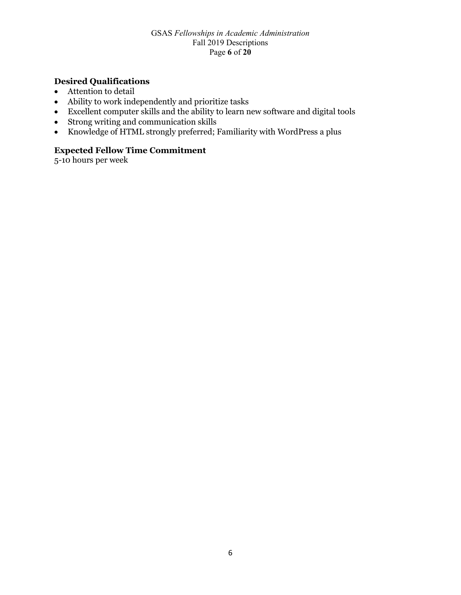#### GSAS *Fellowships in Academic Administration* Fall 2019 Descriptions Page **6** of **20**

## **Desired Qualifications**

- Attention to detail
- Ability to work independently and prioritize tasks
- Excellent computer skills and the ability to learn new software and digital tools
- Strong writing and communication skills
- Knowledge of HTML strongly preferred; Familiarity with WordPress a plus

## **Expected Fellow Time Commitment**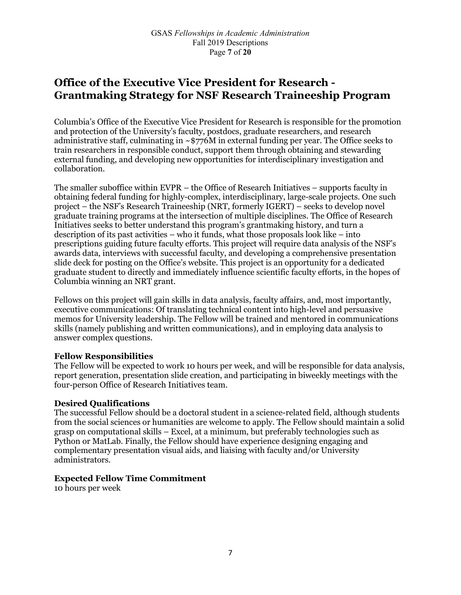# **Office of the Executive Vice President for Research - Grantmaking Strategy for NSF Research Traineeship Program**

Columbia's Office of the Executive Vice President for Research is responsible for the promotion and protection of the University's faculty, postdocs, graduate researchers, and research administrative staff, culminating in  $\sim$  \$776M in external funding per year. The Office seeks to train researchers in responsible conduct, support them through obtaining and stewarding external funding, and developing new opportunities for interdisciplinary investigation and collaboration.

The smaller suboffice within EVPR – the Office of Research Initiatives – supports faculty in obtaining federal funding for highly-complex, interdisciplinary, large-scale projects. One such project – the NSF's Research Traineeship (NRT, formerly IGERT) – seeks to develop novel graduate training programs at the intersection of multiple disciplines. The Office of Research Initiatives seeks to better understand this program's grantmaking history, and turn a description of its past activities – who it funds, what those proposals look like – into prescriptions guiding future faculty efforts. This project will require data analysis of the NSF's awards data, interviews with successful faculty, and developing a comprehensive presentation slide deck for posting on the Office's website. This project is an opportunity for a dedicated graduate student to directly and immediately influence scientific faculty efforts, in the hopes of Columbia winning an NRT grant.

Fellows on this project will gain skills in data analysis, faculty affairs, and, most importantly, executive communications: Of translating technical content into high-level and persuasive memos for University leadership. The Fellow will be trained and mentored in communications skills (namely publishing and written communications), and in employing data analysis to answer complex questions.

### **Fellow Responsibilities**

The Fellow will be expected to work 10 hours per week, and will be responsible for data analysis, report generation, presentation slide creation, and participating in biweekly meetings with the four-person Office of Research Initiatives team.

#### **Desired Qualifications**

The successful Fellow should be a doctoral student in a science-related field, although students from the social sciences or humanities are welcome to apply. The Fellow should maintain a solid grasp on computational skills – Excel, at a minimum, but preferably technologies such as Python or MatLab. Finally, the Fellow should have experience designing engaging and complementary presentation visual aids, and liaising with faculty and/or University administrators.

#### **Expected Fellow Time Commitment**

10 hours per week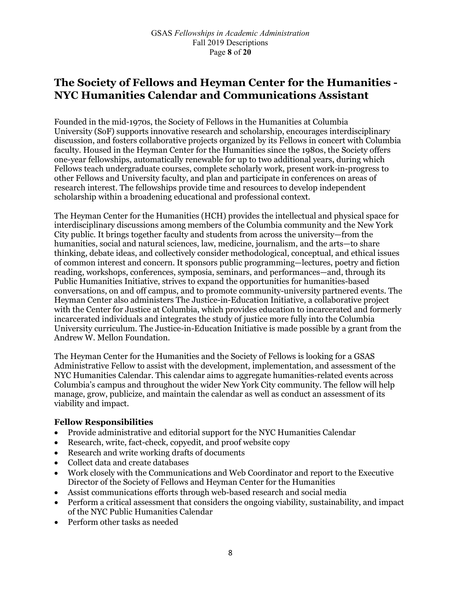# **The Society of Fellows and Heyman Center for the Humanities - NYC Humanities Calendar and Communications Assistant**

Founded in the mid-1970s, the Society of Fellows in the Humanities at Columbia University (SoF) supports innovative research and scholarship, encourages interdisciplinary discussion, and fosters collaborative projects organized by its Fellows in concert with Columbia faculty. Housed in the Heyman Center for the Humanities since the 1980s, the Society offers one-year fellowships, automatically renewable for up to two additional years, during which Fellows teach undergraduate courses, complete scholarly work, present work-in-progress to other Fellows and University faculty, and plan and participate in conferences on areas of research interest. The fellowships provide time and resources to develop independent scholarship within a broadening educational and professional context.

The Heyman Center for the Humanities (HCH) provides the intellectual and physical space for interdisciplinary discussions among members of the Columbia community and the New York City public. It brings together faculty and students from across the university—from the humanities, social and natural sciences, law, medicine, journalism, and the arts—to share thinking, debate ideas, and collectively consider methodological, conceptual, and ethical issues of common interest and concern. It sponsors public programming—lectures, poetry and fiction reading, workshops, conferences, symposia, seminars, and performances—and, through its Public Humanities Initiative, strives to expand the opportunities for humanities-based conversations, on and off campus, and to promote community-university partnered events. The Heyman Center also administers The Justice-in-Education Initiative, a collaborative project with the Center for Justice at Columbia, which provides education to incarcerated and formerly incarcerated individuals and integrates the study of justice more fully into the Columbia University curriculum. The Justice-in-Education Initiative is made possible by a grant from the Andrew W. Mellon Foundation.

The Heyman Center for the Humanities and the Society of Fellows is looking for a GSAS Administrative Fellow to assist with the development, implementation, and assessment of the NYC Humanities Calendar. This calendar aims to aggregate humanities-related events across Columbia's campus and throughout the wider New York City community. The fellow will help manage, grow, publicize, and maintain the calendar as well as conduct an assessment of its viability and impact.

### **Fellow Responsibilities**

- Provide administrative and editorial support for the NYC Humanities Calendar
- Research, write, fact-check, copyedit, and proof website copy
- Research and write working drafts of documents
- Collect data and create databases
- Work closely with the Communications and Web Coordinator and report to the Executive Director of the Society of Fellows and Heyman Center for the Humanities
- Assist communications efforts through web-based research and social media
- Perform a critical assessment that considers the ongoing viability, sustainability, and impact of the NYC Public Humanities Calendar
- Perform other tasks as needed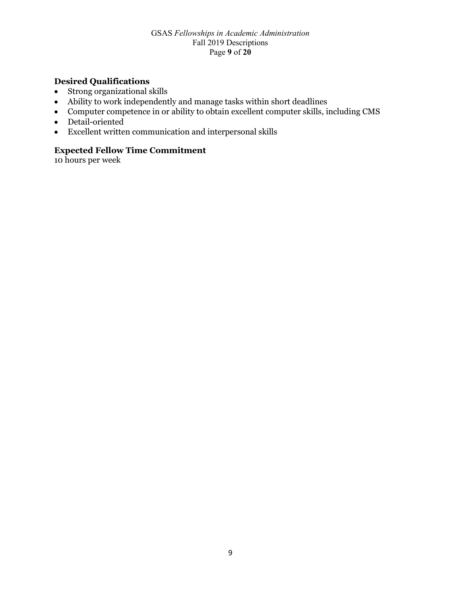#### GSAS *Fellowships in Academic Administration* Fall 2019 Descriptions Page **9** of **20**

## **Desired Qualifications**

- Strong organizational skills
- Ability to work independently and manage tasks within short deadlines
- Computer competence in or ability to obtain excellent computer skills, including CMS
- Detail-oriented
- Excellent written communication and interpersonal skills

### **Expected Fellow Time Commitment**

10 hours per week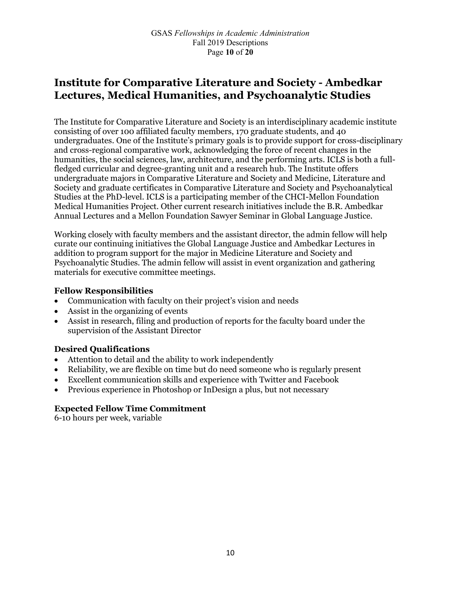# **Institute for Comparative Literature and Society - Ambedkar Lectures, Medical Humanities, and Psychoanalytic Studies**

The Institute for Comparative Literature and Society is an interdisciplinary academic institute consisting of over 100 affiliated faculty members, 170 graduate students, and 40 undergraduates. One of the Institute's primary goals is to provide support for cross-disciplinary and cross-regional comparative work, acknowledging the force of recent changes in the humanities, the social sciences, law, architecture, and the performing arts. ICLS is both a fullfledged curricular and degree-granting unit and a research hub. The Institute offers undergraduate majors in Comparative Literature and Society and Medicine, Literature and Society and graduate certificates in Comparative Literature and Society and Psychoanalytical Studies at the PhD-level. ICLS is a participating member of the CHCI-Mellon Foundation Medical Humanities Project. Other current research initiatives include the B.R. Ambedkar Annual Lectures and a Mellon Foundation Sawyer Seminar in Global Language Justice.

Working closely with faculty members and the assistant director, the admin fellow will help curate our continuing initiatives the Global Language Justice and Ambedkar Lectures in addition to program support for the major in Medicine Literature and Society and Psychoanalytic Studies. The admin fellow will assist in event organization and gathering materials for executive committee meetings.

### **Fellow Responsibilities**

- Communication with faculty on their project's vision and needs
- Assist in the organizing of events
- Assist in research, filing and production of reports for the faculty board under the supervision of the Assistant Director

### **Desired Qualifications**

- Attention to detail and the ability to work independently
- Reliability, we are flexible on time but do need someone who is regularly present
- Excellent communication skills and experience with Twitter and Facebook
- Previous experience in Photoshop or InDesign a plus, but not necessary

#### **Expected Fellow Time Commitment**

6-10 hours per week, variable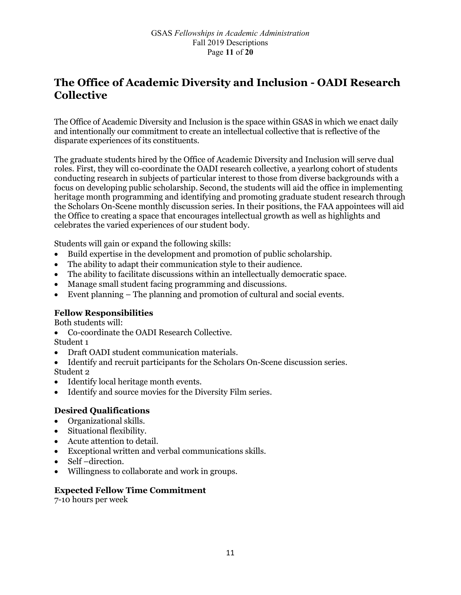# **The Office of Academic Diversity and Inclusion - OADI Research Collective**

The Office of Academic Diversity and Inclusion is the space within GSAS in which we enact daily and intentionally our commitment to create an intellectual collective that is reflective of the disparate experiences of its constituents.

The graduate students hired by the Office of Academic Diversity and Inclusion will serve dual roles. First, they will co-coordinate the OADI research collective, a yearlong cohort of students conducting research in subjects of particular interest to those from diverse backgrounds with a focus on developing public scholarship. Second, the students will aid the office in implementing heritage month programming and identifying and promoting graduate student research through the Scholars On-Scene monthly discussion series. In their positions, the FAA appointees will aid the Office to creating a space that encourages intellectual growth as well as highlights and celebrates the varied experiences of our student body.

Students will gain or expand the following skills:

- Build expertise in the development and promotion of public scholarship.
- The ability to adapt their communication style to their audience.
- The ability to facilitate discussions within an intellectually democratic space.
- Manage small student facing programming and discussions.
- Event planning The planning and promotion of cultural and social events.

### **Fellow Responsibilities**

Both students will:

• Co-coordinate the OADI Research Collective.

Student 1

- Draft OADI student communication materials.
- Identify and recruit participants for the Scholars On-Scene discussion series.
- Student 2
- Identify local heritage month events.
- Identify and source movies for the Diversity Film series.

### **Desired Qualifications**

- Organizational skills.
- Situational flexibility.
- Acute attention to detail.
- Exceptional written and verbal communications skills.
- Self-direction.
- Willingness to collaborate and work in groups.

### **Expected Fellow Time Commitment**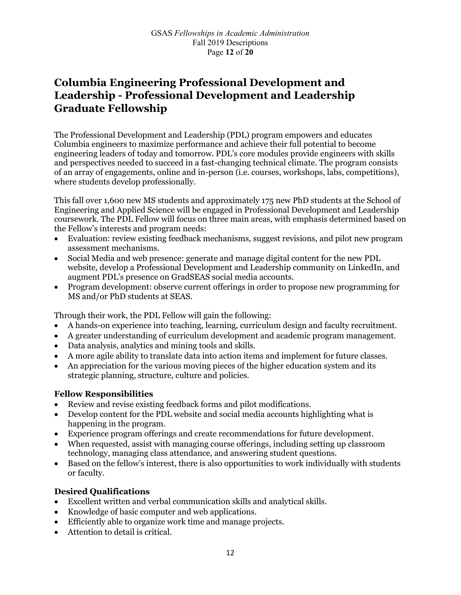# **Columbia Engineering Professional Development and Leadership - Professional Development and Leadership Graduate Fellowship**

The Professional Development and Leadership (PDL) program empowers and educates Columbia engineers to maximize performance and achieve their full potential to become engineering leaders of today and tomorrow. PDL's core modules provide engineers with skills and perspectives needed to succeed in a fast-changing technical climate. The program consists of an array of engagements, online and in-person (i.e. courses, workshops, labs, competitions), where students develop professionally.

This fall over 1,600 new MS students and approximately 175 new PhD students at the School of Engineering and Applied Science will be engaged in Professional Development and Leadership coursework. The PDL Fellow will focus on three main areas, with emphasis determined based on the Fellow's interests and program needs:

- Evaluation: review existing feedback mechanisms, suggest revisions, and pilot new program assessment mechanisms.
- Social Media and web presence: generate and manage digital content for the new PDL website, develop a Professional Development and Leadership community on LinkedIn, and augment PDL's presence on GradSEAS social media accounts.
- Program development: observe current offerings in order to propose new programming for MS and/or PhD students at SEAS.

Through their work, the PDL Fellow will gain the following:

- A hands-on experience into teaching, learning, curriculum design and faculty recruitment.
- A greater understanding of curriculum development and academic program management.
- Data analysis, analytics and mining tools and skills.
- A more agile ability to translate data into action items and implement for future classes.
- An appreciation for the various moving pieces of the higher education system and its strategic planning, structure, culture and policies.

### **Fellow Responsibilities**

- Review and revise existing feedback forms and pilot modifications.
- Develop content for the PDL website and social media accounts highlighting what is happening in the program.
- Experience program offerings and create recommendations for future development.
- When requested, assist with managing course offerings, including setting up classroom technology, managing class attendance, and answering student questions.
- Based on the fellow's interest, there is also opportunities to work individually with students or faculty.

### **Desired Qualifications**

- Excellent written and verbal communication skills and analytical skills.
- Knowledge of basic computer and web applications.
- Efficiently able to organize work time and manage projects.
- Attention to detail is critical.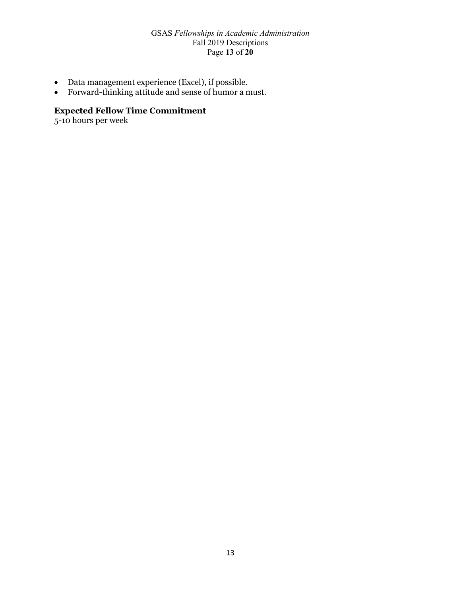#### GSAS *Fellowships in Academic Administration* Fall 2019 Descriptions Page **13** of **20**

- Data management experience (Excel), if possible.
- Forward-thinking attitude and sense of humor a must.

### **Expected Fellow Time Commitment**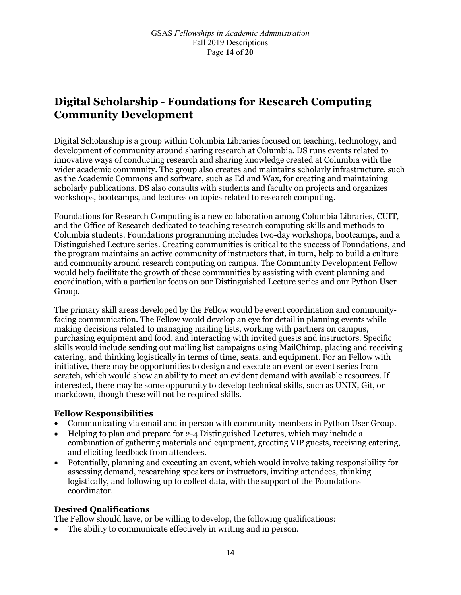# **Digital Scholarship - Foundations for Research Computing Community Development**

Digital Scholarship is a group within Columbia Libraries focused on teaching, technology, and development of community around sharing research at Columbia. DS runs events related to innovative ways of conducting research and sharing knowledge created at Columbia with the wider academic community. The group also creates and maintains scholarly infrastructure, such as the Academic Commons and software, such as Ed and Wax, for creating and maintaining scholarly publications. DS also consults with students and faculty on projects and organizes workshops, bootcamps, and lectures on topics related to research computing.

Foundations for Research Computing is a new collaboration among Columbia Libraries, CUIT, and the Office of Research dedicated to teaching research computing skills and methods to Columbia students. Foundations programming includes two-day workshops, bootcamps, and a Distinguished Lecture series. Creating communities is critical to the success of Foundations, and the program maintains an active community of instructors that, in turn, help to build a culture and community around research computing on campus. The Community Development Fellow would help facilitate the growth of these communities by assisting with event planning and coordination, with a particular focus on our Distinguished Lecture series and our Python User Group.

The primary skill areas developed by the Fellow would be event coordination and communityfacing communication. The Fellow would develop an eye for detail in planning events while making decisions related to managing mailing lists, working with partners on campus, purchasing equipment and food, and interacting with invited guests and instructors. Specific skills would include sending out mailing list campaigns using MailChimp, placing and receiving catering, and thinking logistically in terms of time, seats, and equipment. For an Fellow with initiative, there may be opportunities to design and execute an event or event series from scratch, which would show an ability to meet an evident demand with available resources. If interested, there may be some oppurunity to develop technical skills, such as UNIX, Git, or markdown, though these will not be required skills.

### **Fellow Responsibilities**

- Communicating via email and in person with community members in Python User Group.
- Helping to plan and prepare for 2-4 Distinguished Lectures, which may include a combination of gathering materials and equipment, greeting VIP guests, receiving catering, and eliciting feedback from attendees.
- Potentially, planning and executing an event, which would involve taking responsibility for assessing demand, researching speakers or instructors, inviting attendees, thinking logistically, and following up to collect data, with the support of the Foundations coordinator.

### **Desired Qualifications**

The Fellow should have, or be willing to develop, the following qualifications:

• The ability to communicate effectively in writing and in person.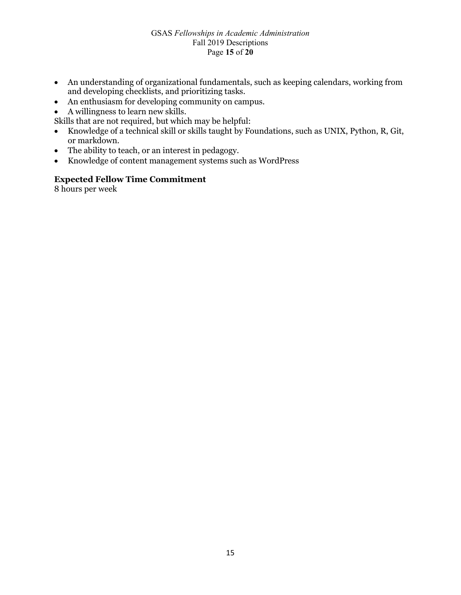#### GSAS *Fellowships in Academic Administration* Fall 2019 Descriptions Page **15** of **20**

- An understanding of organizational fundamentals, such as keeping calendars, working from and developing checklists, and prioritizing tasks.
- An enthusiasm for developing community on campus.
- A willingness to learn new skills.

Skills that are not required, but which may be helpful:

- Knowledge of a technical skill or skills taught by Foundations, such as UNIX, Python, R, Git, or markdown.
- The ability to teach, or an interest in pedagogy.
- Knowledge of content management systems such as WordPress

### **Expected Fellow Time Commitment**

8 hours per week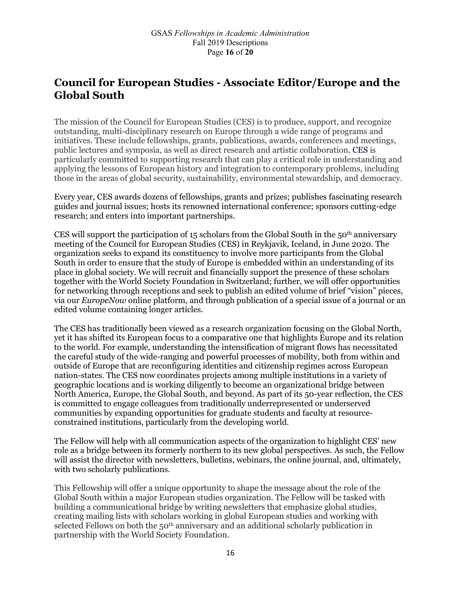# **Council for European Studies - Associate Editor/Europe and the Global South**

The mission of the Council for European Studies (CES) is to produce, support, and recognize outstanding, multi-disciplinary research on Europe through a wide range of programs and initiatives. These include fellowships, grants, publications, awards, conferences and meetings, public lectures and symposia, as well as direct research and artistic collaboration. CES is particularly committed to supporting research that can play a critical role in understanding and applying the lessons of European history and integration to contemporary problems, including those in the areas of global security, sustainability, environmental stewardship, and democracy.

Every year, CES awards dozens of fellowships, grants and prizes; publishes fascinating research guides and journal issues; hosts its renowned international conference; sponsors cutting-edge research; and enters into important partnerships.

CES will support the participation of 15 scholars from the Global South in the  $50<sup>th</sup>$  anniversary meeting of the Council for European Studies (CES) in Reykjavik, Iceland, in June 2020. The organization seeks to expand its constituency to involve more participants from the Global South in order to ensure that the study of Europe is embedded within an understanding of its place in global society. We will recruit and financially support the presence of these scholars together with the World Society Foundation in Switzerland; further, we will offer opportunities for networking through receptions and seek to publish an edited volume of brief "vision" pieces, via our *EuropeNow* online platform, and through publication of a special issue of a journal or an edited volume containing longer articles.

The CES has traditionally been viewed as a research organization focusing on the Global North, yet it has shifted its European focus to a comparative one that highlights Europe and its relation to the world. For example, understanding the intensification of migrant flows has necessitated the careful study of the wide-ranging and powerful processes of mobility, both from within and outside of Europe that are reconfiguring identities and citizenship regimes across European nation-states. The CES now coordinates projects among multiple institutions in a variety of geographic locations and is working diligently to become an organizational bridge between North America, Europe, the Global South, and beyond. As part of its 50-year reflection, the CES is committed to engage colleagues from traditionally underrepresented or underserved communities by expanding opportunities for graduate students and faculty at resourceconstrained institutions, particularly from the developing world.

The Fellow will help with all communication aspects of the organization to highlight CES' new role as a bridge between its formerly northern to its new global perspectives. As such, the Fellow will assist the director with newsletters, bulletins, webinars, the online journal, and, ultimately, with two scholarly publications.

This Fellowship will offer a unique opportunity to shape the message about the role of the Global South within a major European studies organization. The Fellow will be tasked with building a communicational bridge by writing newsletters that emphasize global studies, creating mailing lists with scholars working in global European studies and working with selected Fellows on both the 50th anniversary and an additional scholarly publication in partnership with the World Society Foundation.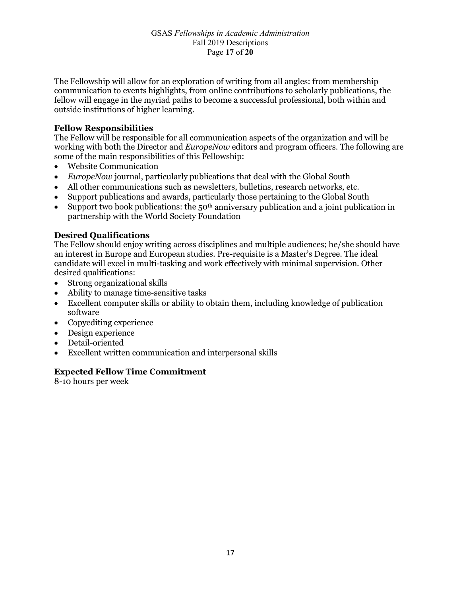The Fellowship will allow for an exploration of writing from all angles: from membership communication to events highlights, from online contributions to scholarly publications, the fellow will engage in the myriad paths to become a successful professional, both within and outside institutions of higher learning.

#### **Fellow Responsibilities**

The Fellow will be responsible for all communication aspects of the organization and will be working with both the Director and *EuropeNow* editors and program officers. The following are some of the main responsibilities of this Fellowship:

- Website Communication
- *EuropeNow* journal, particularly publications that deal with the Global South
- All other communications such as newsletters, bulletins, research networks, etc.
- Support publications and awards, particularly those pertaining to the Global South
- Support two book publications: the  $50<sup>th</sup>$  anniversary publication and a joint publication in partnership with the World Society Foundation

#### **Desired Qualifications**

The Fellow should enjoy writing across disciplines and multiple audiences; he/she should have an interest in Europe and European studies. Pre-requisite is a Master's Degree. The ideal candidate will excel in multi-tasking and work effectively with minimal supervision. Other desired qualifications:

- Strong organizational skills
- Ability to manage time-sensitive tasks
- Excellent computer skills or ability to obtain them, including knowledge of publication software
- Copyediting experience
- Design experience
- Detail-oriented
- Excellent written communication and interpersonal skills

#### **Expected Fellow Time Commitment**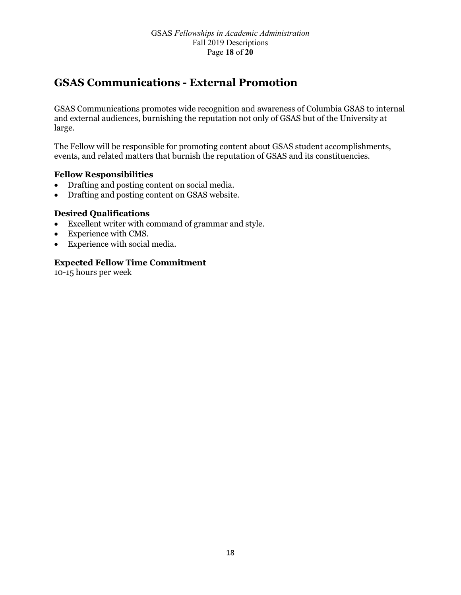# **GSAS Communications - External Promotion**

GSAS Communications promotes wide recognition and awareness of Columbia GSAS to internal and external audiences, burnishing the reputation not only of GSAS but of the University at large.

The Fellow will be responsible for promoting content about GSAS student accomplishments, events, and related matters that burnish the reputation of GSAS and its constituencies.

### **Fellow Responsibilities**

- Drafting and posting content on social media.
- Drafting and posting content on GSAS website.

### **Desired Qualifications**

- Excellent writer with command of grammar and style.
- Experience with CMS.
- Experience with social media.

### **Expected Fellow Time Commitment**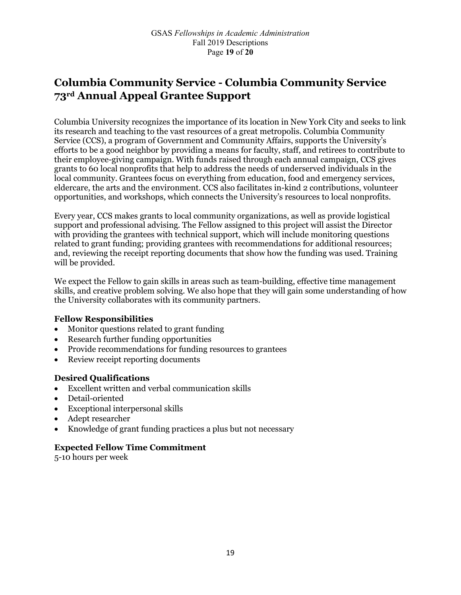# **Columbia Community Service - Columbia Community Service 73rd Annual Appeal Grantee Support**

Columbia University recognizes the importance of its location in New York City and seeks to link its research and teaching to the vast resources of a great metropolis. Columbia Community Service (CCS), a program of Government and Community Affairs, supports the University's efforts to be a good neighbor by providing a means for faculty, staff, and retirees to contribute to their employee-giving campaign. With funds raised through each annual campaign, CCS gives grants to 60 local nonprofits that help to address the needs of underserved individuals in the local community. Grantees focus on everything from education, food and emergency services, eldercare, the arts and the environment. CCS also facilitates in-kind 2 contributions, volunteer opportunities, and workshops, which connects the University's resources to local nonprofits.

Every year, CCS makes grants to local community organizations, as well as provide logistical support and professional advising. The Fellow assigned to this project will assist the Director with providing the grantees with technical support, which will include monitoring questions related to grant funding; providing grantees with recommendations for additional resources; and, reviewing the receipt reporting documents that show how the funding was used. Training will be provided.

We expect the Fellow to gain skills in areas such as team-building, effective time management skills, and creative problem solving. We also hope that they will gain some understanding of how the University collaborates with its community partners.

### **Fellow Responsibilities**

- Monitor questions related to grant funding
- Research further funding opportunities
- Provide recommendations for funding resources to grantees
- Review receipt reporting documents

### **Desired Qualifications**

- Excellent written and verbal communication skills
- Detail-oriented
- Exceptional interpersonal skills
- Adept researcher
- Knowledge of grant funding practices a plus but not necessary

#### **Expected Fellow Time Commitment**